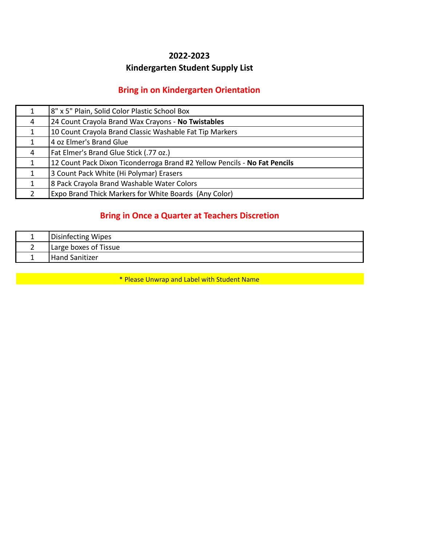#### **2022-2023**

### **Kindergarten Student Supply List**

#### **Bring in on Kindergarten Orientation**

| 1             | 8" x 5" Plain, Solid Color Plastic School Box                             |
|---------------|---------------------------------------------------------------------------|
| 4             | 24 Count Crayola Brand Wax Crayons - No Twistables                        |
| 1             | 10 Count Crayola Brand Classic Washable Fat Tip Markers                   |
|               | 4 oz Elmer's Brand Glue                                                   |
| 4             | Fat Elmer's Brand Glue Stick (.77 oz.)                                    |
| 1             | 12 Count Pack Dixon Ticonderroga Brand #2 Yellow Pencils - No Fat Pencils |
| $\mathbf{1}$  | 3 Count Pack White (Hi Polymar) Erasers                                   |
| 1             | 8 Pack Crayola Brand Washable Water Colors                                |
| $\mathcal{P}$ | <b>Expo Brand Thick Markers for White Boards (Any Color)</b>              |

### **Bring in Once a Quarter at Teachers Discretion**

| Disinfecting Wipes    |
|-----------------------|
| Large boxes of Tissue |
| <b>Hand Sanitizer</b> |

\* Please Unwrap and Label with Student Name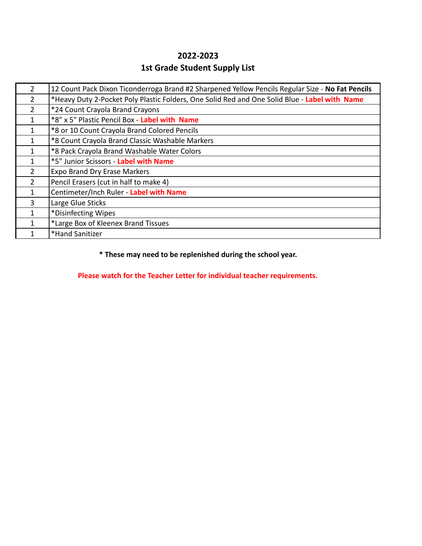# **2022-2023 1st Grade Student Supply List**

| 2              | 12 Count Pack Dixon Ticonderroga Brand #2 Sharpened Yellow Pencils Regular Size - No Fat Pencils |
|----------------|--------------------------------------------------------------------------------------------------|
| 2              | *Heavy Duty 2-Pocket Poly Plastic Folders, One Solid Red and One Solid Blue - Label with Name    |
| $\overline{2}$ | *24 Count Crayola Brand Crayons                                                                  |
|                | *8" x 5" Plastic Pencil Box - Label with Name                                                    |
|                | *8 or 10 Count Crayola Brand Colored Pencils                                                     |
|                | *8 Count Crayola Brand Classic Washable Markers                                                  |
|                | *8 Pack Crayola Brand Washable Water Colors                                                      |
|                | *5" Junior Scissors - Label with Name                                                            |
| $\overline{2}$ | <b>Expo Brand Dry Erase Markers</b>                                                              |
| $\overline{2}$ | Pencil Erasers (cut in half to make 4)                                                           |
|                | Centimeter/Inch Ruler - Label with Name                                                          |
| 3              | Large Glue Sticks                                                                                |
|                | *Disinfecting Wipes                                                                              |
|                | *Large Box of Kleenex Brand Tissues                                                              |
|                | *Hand Sanitizer                                                                                  |

#### **\* These may need to be replenished during the school year.**

**Please watch for the Teacher Letter for individual teacher requirements.**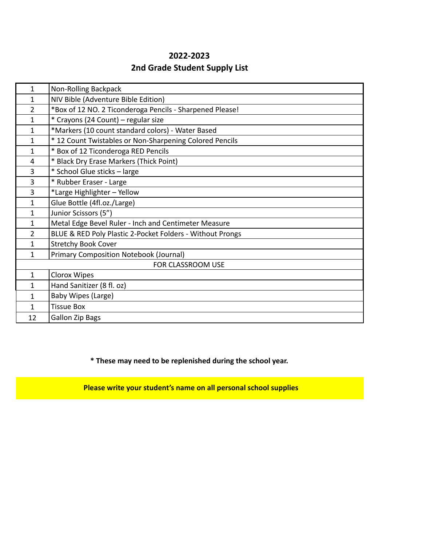# **2022-2023 2nd Grade Student Supply List**

| $\mathbf{1}$             | Non-Rolling Backpack                                      |
|--------------------------|-----------------------------------------------------------|
| 1                        | NIV Bible (Adventure Bible Edition)                       |
| $\overline{2}$           | *Box of 12 NO. 2 Ticonderoga Pencils - Sharpened Please!  |
| $\mathbf{1}$             | * Crayons (24 Count) - regular size                       |
| $\mathbf{1}$             | *Markers (10 count standard colors) - Water Based         |
| $\mathbf{1}$             | * 12 Count Twistables or Non-Sharpening Colored Pencils   |
| $\mathbf{1}$             | * Box of 12 Ticonderoga RED Pencils                       |
| $\overline{4}$           | * Black Dry Erase Markers (Thick Point)                   |
| 3                        | * School Glue sticks - large                              |
| 3                        | * Rubber Eraser - Large                                   |
| 3                        | *Large Highlighter - Yellow                               |
| $\mathbf{1}$             | Glue Bottle (4fl.oz./Large)                               |
| $\mathbf{1}$             | Junior Scissors (5")                                      |
| $\mathbf{1}$             | Metal Edge Bevel Ruler - Inch and Centimeter Measure      |
| $\overline{2}$           | BLUE & RED Poly Plastic 2-Pocket Folders - Without Prongs |
| $\mathbf{1}$             | <b>Stretchy Book Cover</b>                                |
| $\mathbf{1}$             | <b>Primary Composition Notebook (Journal)</b>             |
| <b>FOR CLASSROOM USE</b> |                                                           |
| $\mathbf{1}$             | Clorox Wipes                                              |
| $\mathbf{1}$             | Hand Sanitizer (8 fl. oz)                                 |
| $\mathbf{1}$             | Baby Wipes (Large)                                        |
| $\mathbf{1}$             | <b>Tissue Box</b>                                         |
| 12                       | <b>Gallon Zip Bags</b>                                    |

**\* These may need to be replenished during the school year.**

 **Please write your student's name on all personal school supplies**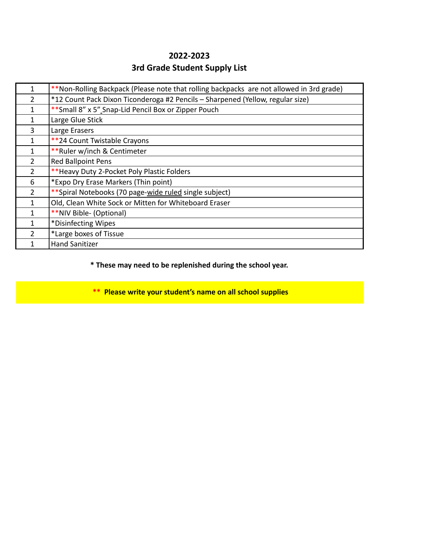## **2022-2023 3rd Grade Student Supply List**

|                | **Non-Rolling Backpack (Please note that rolling backpacks are not allowed in 3rd grade) |
|----------------|------------------------------------------------------------------------------------------|
| $\overline{2}$ | *12 Count Pack Dixon Ticonderoga #2 Pencils - Sharpened (Yellow, regular size)           |
| 1              | ** Small 8" x 5" Snap-Lid Pencil Box or Zipper Pouch                                     |
| 1              | Large Glue Stick                                                                         |
| 3              | Large Erasers                                                                            |
| 1              | **24 Count Twistable Crayons                                                             |
| 1              | **Ruler w/inch & Centimeter                                                              |
| $\mathcal{P}$  | Red Ballpoint Pens                                                                       |
| $\overline{2}$ | ** Heavy Duty 2-Pocket Poly Plastic Folders                                              |
| 6              | *Expo Dry Erase Markers (Thin point)                                                     |
| $\mathcal{P}$  | **Spiral Notebooks (70 page-wide ruled single subject)                                   |
| 1              | Old, Clean White Sock or Mitten for Whiteboard Eraser                                    |
| 1              | **NIV Bible- (Optional)                                                                  |
|                | *Disinfecting Wipes                                                                      |
| $\mathcal{P}$  | *Large boxes of Tissue                                                                   |
|                | <b>Hand Sanitizer</b>                                                                    |

#### **\* These may need to be replenished during the school year.**

 **\*\* Please write your student's name on all school supplies**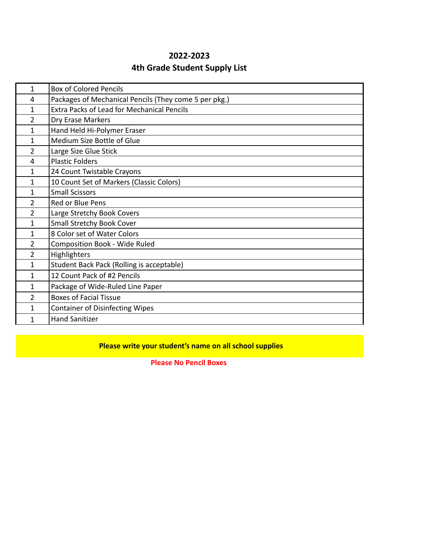### **2022-2023 4th Grade Student Supply List**

| $\mathbf{1}$   | <b>Box of Colored Pencils</b>                         |
|----------------|-------------------------------------------------------|
| 4              | Packages of Mechanical Pencils (They come 5 per pkg.) |
| $\mathbf{1}$   | <b>Extra Packs of Lead for Mechanical Pencils</b>     |
| $\overline{2}$ | Dry Erase Markers                                     |
| $\mathbf{1}$   | Hand Held Hi-Polymer Eraser                           |
| $\mathbf{1}$   | Medium Size Bottle of Glue                            |
| $\overline{2}$ | Large Size Glue Stick                                 |
| 4              | <b>Plastic Folders</b>                                |
| 1              | 24 Count Twistable Crayons                            |
| $\mathbf{1}$   | 10 Count Set of Markers (Classic Colors)              |
| $\mathbf{1}$   | <b>Small Scissors</b>                                 |
| $\overline{2}$ | Red or Blue Pens                                      |
| $\overline{2}$ | Large Stretchy Book Covers                            |
| $\mathbf{1}$   | <b>Small Stretchy Book Cover</b>                      |
| 1              | 8 Color set of Water Colors                           |
| $\overline{2}$ | <b>Composition Book - Wide Ruled</b>                  |
| $\overline{2}$ | Highlighters                                          |
| $\mathbf{1}$   | Student Back Pack (Rolling is acceptable)             |
| $\mathbf{1}$   | 12 Count Pack of #2 Pencils                           |
| $\mathbf{1}$   | Package of Wide-Ruled Line Paper                      |
| $\overline{2}$ | <b>Boxes of Facial Tissue</b>                         |
| $\mathbf{1}$   | <b>Container of Disinfecting Wipes</b>                |
| 1              | <b>Hand Sanitizer</b>                                 |

#### **Please write your student's name on all school supplies**

**Please No Pencil Boxes**